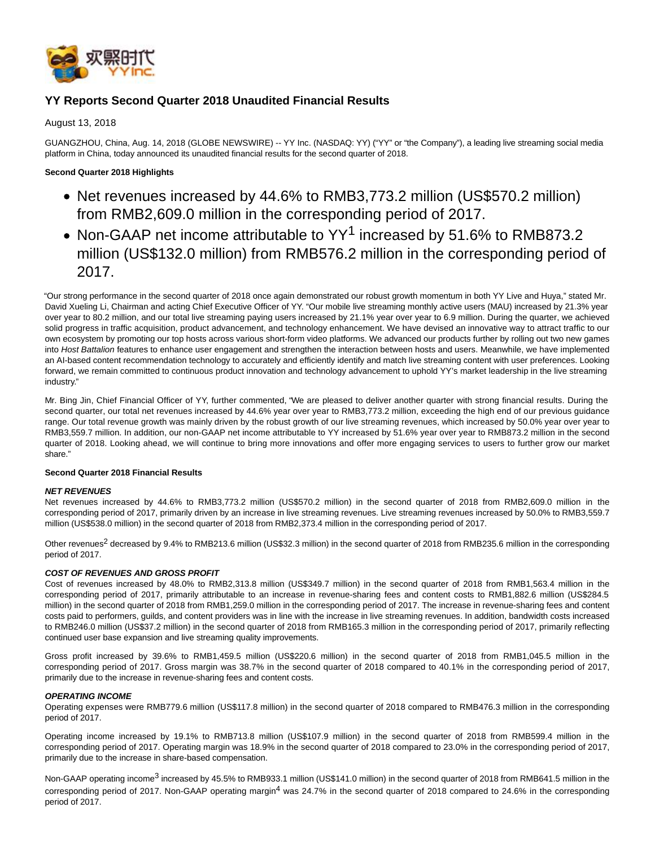

# **YY Reports Second Quarter 2018 Unaudited Financial Results**

August 13, 2018

GUANGZHOU, China, Aug. 14, 2018 (GLOBE NEWSWIRE) -- YY Inc. (NASDAQ: YY) ("YY" or "the Company"), a leading live streaming social media platform in China, today announced its unaudited financial results for the second quarter of 2018.

## **Second Quarter 2018 Highlights**

- Net revenues increased by 44.6% to RMB3,773.2 million (US\$570.2 million) from RMB2,609.0 million in the corresponding period of 2017.
- Non-GAAP net income attributable to  $YY<sup>1</sup>$  increased by 51.6% to RMB873.2 million (US\$132.0 million) from RMB576.2 million in the corresponding period of 2017.

"Our strong performance in the second quarter of 2018 once again demonstrated our robust growth momentum in both YY Live and Huya," stated Mr. David Xueling Li, Chairman and acting Chief Executive Officer of YY. "Our mobile live streaming monthly active users (MAU) increased by 21.3% year over year to 80.2 million, and our total live streaming paying users increased by 21.1% year over year to 6.9 million. During the quarter, we achieved solid progress in traffic acquisition, product advancement, and technology enhancement. We have devised an innovative way to attract traffic to our own ecosystem by promoting our top hosts across various short-form video platforms. We advanced our products further by rolling out two new games into Host Battalion features to enhance user engagement and strengthen the interaction between hosts and users. Meanwhile, we have implemented an AI-based content recommendation technology to accurately and efficiently identify and match live streaming content with user preferences. Looking forward, we remain committed to continuous product innovation and technology advancement to uphold YY's market leadership in the live streaming industry."

Mr. Bing Jin, Chief Financial Officer of YY, further commented, "We are pleased to deliver another quarter with strong financial results. During the second quarter, our total net revenues increased by 44.6% year over year to RMB3,773.2 million, exceeding the high end of our previous guidance range. Our total revenue growth was mainly driven by the robust growth of our live streaming revenues, which increased by 50.0% year over year to RMB3,559.7 million. In addition, our non-GAAP net income attributable to YY increased by 51.6% year over year to RMB873.2 million in the second quarter of 2018. Looking ahead, we will continue to bring more innovations and offer more engaging services to users to further grow our market share."

### **Second Quarter 2018 Financial Results**

### **NET REVENUES**

Net revenues increased by 44.6% to RMB3,773.2 million (US\$570.2 million) in the second quarter of 2018 from RMB2,609.0 million in the corresponding period of 2017, primarily driven by an increase in live streaming revenues. Live streaming revenues increased by 50.0% to RMB3,559.7 million (US\$538.0 million) in the second quarter of 2018 from RMB2,373.4 million in the corresponding period of 2017.

Other revenues<sup>2</sup> decreased by 9.4% to RMB213.6 million (US\$32.3 million) in the second quarter of 2018 from RMB235.6 million in the corresponding period of 2017.

### **COST OF REVENUES AND GROSS PROFIT**

Cost of revenues increased by 48.0% to RMB2,313.8 million (US\$349.7 million) in the second quarter of 2018 from RMB1,563.4 million in the corresponding period of 2017, primarily attributable to an increase in revenue-sharing fees and content costs to RMB1,882.6 million (US\$284.5 million) in the second quarter of 2018 from RMB1,259.0 million in the corresponding period of 2017. The increase in revenue-sharing fees and content costs paid to performers, guilds, and content providers was in line with the increase in live streaming revenues. In addition, bandwidth costs increased to RMB246.0 million (US\$37.2 million) in the second quarter of 2018 from RMB165.3 million in the corresponding period of 2017, primarily reflecting continued user base expansion and live streaming quality improvements.

Gross profit increased by 39.6% to RMB1,459.5 million (US\$220.6 million) in the second quarter of 2018 from RMB1,045.5 million in the corresponding period of 2017. Gross margin was 38.7% in the second quarter of 2018 compared to 40.1% in the corresponding period of 2017, primarily due to the increase in revenue-sharing fees and content costs.

### **OPERATING INCOME**

Operating expenses were RMB779.6 million (US\$117.8 million) in the second quarter of 2018 compared to RMB476.3 million in the corresponding period of 2017.

Operating income increased by 19.1% to RMB713.8 million (US\$107.9 million) in the second quarter of 2018 from RMB599.4 million in the corresponding period of 2017. Operating margin was 18.9% in the second quarter of 2018 compared to 23.0% in the corresponding period of 2017, primarily due to the increase in share-based compensation.

Non-GAAP operating income<sup>3</sup> increased by 45.5% to RMB933.1 million (US\$141.0 million) in the second quarter of 2018 from RMB641.5 million in the corresponding period of 2017. Non-GAAP operating margin<sup>4</sup> was 24.7% in the second quarter of 2018 compared to 24.6% in the corresponding period of 2017.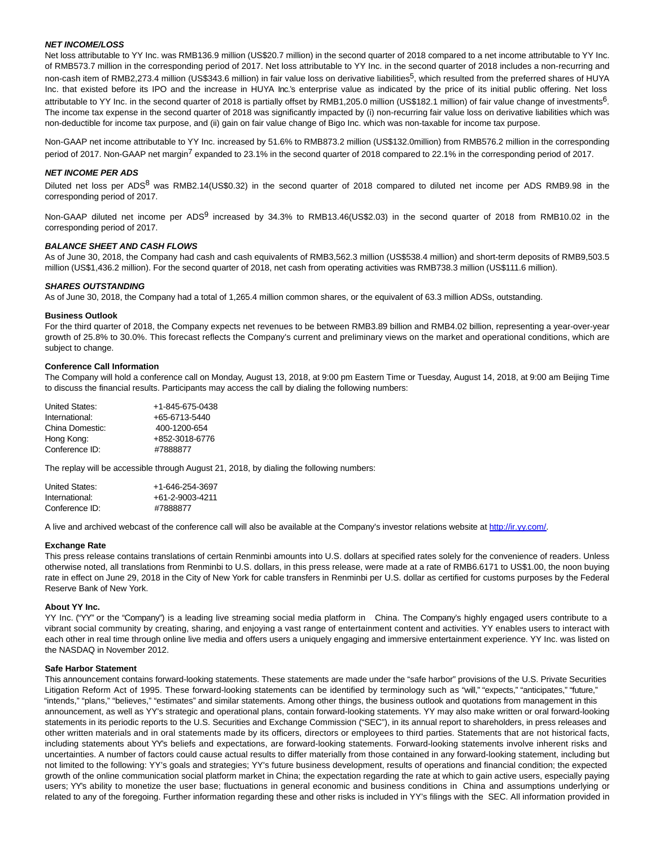#### **NET INCOME/LOSS**

Net loss attributable to YY Inc. was RMB136.9 million (US\$20.7 million) in the second quarter of 2018 compared to a net income attributable to YY Inc. of RMB573.7 million in the corresponding period of 2017. Net loss attributable to YY Inc. in the second quarter of 2018 includes a non-recurring and non-cash item of RMB2,273.4 million (US\$343.6 million) in fair value loss on derivative liabilities<sup>5</sup>, which resulted from the preferred shares of HUYA Inc. that existed before its IPO and the increase in HUYA Inc.'s enterprise value as indicated by the price of its initial public offering. Net loss attributable to YY Inc. in the second quarter of 2018 is partially offset by RMB1,205.0 million (US\$182.1 million) of fair value change of investments<sup>6</sup>. The income tax expense in the second quarter of 2018 was significantly impacted by (i) non-recurring fair value loss on derivative liabilities which was non-deductible for income tax purpose, and (ii) gain on fair value change of Bigo Inc. which was non-taxable for income tax purpose.

Non-GAAP net income attributable to YY Inc. increased by 51.6% to RMB873.2 million (US\$132.0million) from RMB576.2 million in the corresponding period of 2017. Non-GAAP net margin<sup>7</sup> expanded to 23.1% in the second quarter of 2018 compared to 22.1% in the corresponding period of 2017.

#### **NET INCOME PER ADS**

Diluted net loss per ADS<sup>8</sup> was RMB2.14(US\$0.32) in the second quarter of 2018 compared to diluted net income per ADS RMB9.98 in the corresponding period of 2017.

Non-GAAP diluted net income per ADS<sup>9</sup> increased by 34.3% to RMB13.46(US\$2.03) in the second quarter of 2018 from RMB10.02 in the corresponding period of 2017.

#### **BALANCE SHEET AND CASH FLOWS**

As of June 30, 2018, the Company had cash and cash equivalents of RMB3,562.3 million (US\$538.4 million) and short-term deposits of RMB9,503.5 million (US\$1,436.2 million). For the second quarter of 2018, net cash from operating activities was RMB738.3 million (US\$111.6 million).

#### **SHARES OUTSTANDING**

As of June 30, 2018, the Company had a total of 1,265.4 million common shares, or the equivalent of 63.3 million ADSs, outstanding.

#### **Business Outlook**

For the third quarter of 2018, the Company expects net revenues to be between RMB3.89 billion and RMB4.02 billion, representing a year-over-year growth of 25.8% to 30.0%. This forecast reflects the Company's current and preliminary views on the market and operational conditions, which are subject to change.

#### **Conference Call Information**

The Company will hold a conference call on Monday, August 13, 2018, at 9:00 pm Eastern Time or Tuesday, August 14, 2018, at 9:00 am Beijing Time to discuss the financial results. Participants may access the call by dialing the following numbers:

| United States:  | +1-845-675-0438 |
|-----------------|-----------------|
| International:  | +65-6713-5440   |
| China Domestic: | 400-1200-654    |
| Hong Kong:      | +852-3018-6776  |
| Conference ID:  | #7888877        |

The replay will be accessible through August 21, 2018, by dialing the following numbers:

| United States: | +1-646-254-3697 |
|----------------|-----------------|
| International: | +61-2-9003-4211 |
| Conference ID: | #7888877        |

A live and archived webcast of the conference call will also be available at the Company's investor relations website at [http://ir.yy.com/.](https://www.globenewswire.com/Tracker?data=vuB780QZ2ZgDy1fyz9rmtyabYJxXupv8rq1IW2zOsr3-YeZAyXj3Q3Cz8R43uC3yLrTYvJOtUyX4MF87odp7WA==)

#### **Exchange Rate**

This press release contains translations of certain Renminbi amounts into U.S. dollars at specified rates solely for the convenience of readers. Unless otherwise noted, all translations from Renminbi to U.S. dollars, in this press release, were made at a rate of RMB6.6171 to US\$1.00, the noon buying rate in effect on June 29, 2018 in the City of New York for cable transfers in Renminbi per U.S. dollar as certified for customs purposes by the Federal Reserve Bank of New York.

#### **About YY Inc.**

YY Inc. ("YY" or the "Company") is a leading live streaming social media platform in China. The Company's highly engaged users contribute to a vibrant social community by creating, sharing, and enjoying a vast range of entertainment content and activities. YY enables users to interact with each other in real time through online live media and offers users a uniquely engaging and immersive entertainment experience. YY Inc. was listed on the NASDAQ in November 2012.

#### **Safe Harbor Statement**

This announcement contains forward-looking statements. These statements are made under the "safe harbor" provisions of the U.S. Private Securities Litigation Reform Act of 1995. These forward-looking statements can be identified by terminology such as "will," "expects," "anticipates," "future," "intends," "plans," "believes," "estimates" and similar statements. Among other things, the business outlook and quotations from management in this announcement, as well as YY's strategic and operational plans, contain forward-looking statements. YY may also make written or oral forward-looking statements in its periodic reports to the U.S. Securities and Exchange Commission ("SEC"), in its annual report to shareholders, in press releases and other written materials and in oral statements made by its officers, directors or employees to third parties. Statements that are not historical facts, including statements about YY's beliefs and expectations, are forward-looking statements. Forward-looking statements involve inherent risks and uncertainties. A number of factors could cause actual results to differ materially from those contained in any forward-looking statement, including but not limited to the following: YY's goals and strategies; YY's future business development, results of operations and financial condition; the expected growth of the online communication social platform market in China; the expectation regarding the rate at which to gain active users, especially paying users; YY's ability to monetize the user base; fluctuations in general economic and business conditions in China and assumptions underlying or related to any of the foregoing. Further information regarding these and other risks is included in YY's filings with the SEC. All information provided in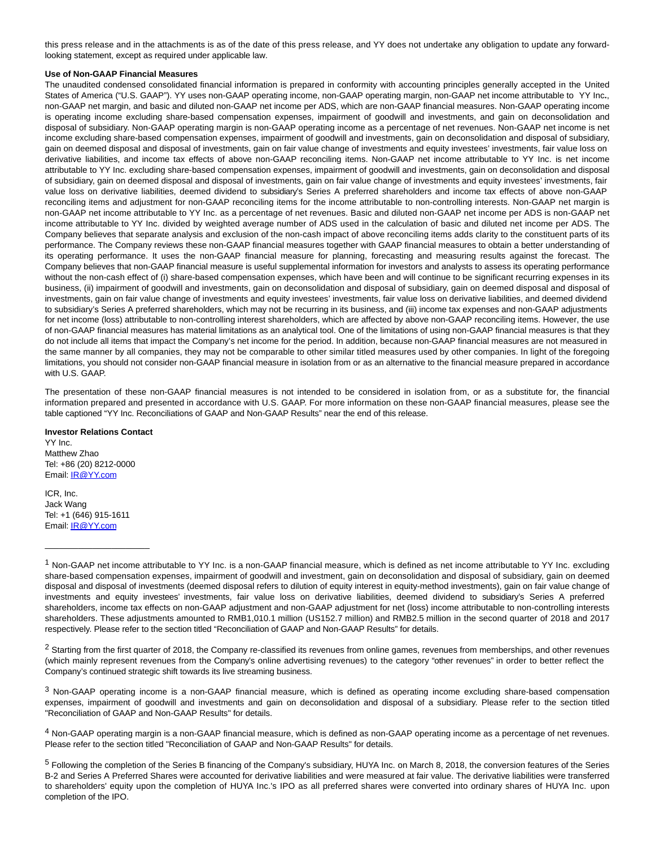this press release and in the attachments is as of the date of this press release, and YY does not undertake any obligation to update any forwardlooking statement, except as required under applicable law.

### **Use of Non-GAAP Financial Measures**

The unaudited condensed consolidated financial information is prepared in conformity with accounting principles generally accepted in the United States of America ("U.S. GAAP"). YY uses non-GAAP operating income, non-GAAP operating margin, non-GAAP net income attributable to YY Inc**.**, non-GAAP net margin, and basic and diluted non-GAAP net income per ADS, which are non-GAAP financial measures. Non-GAAP operating income is operating income excluding share-based compensation expenses, impairment of goodwill and investments, and gain on deconsolidation and disposal of subsidiary. Non-GAAP operating margin is non-GAAP operating income as a percentage of net revenues. Non-GAAP net income is net income excluding share-based compensation expenses, impairment of goodwill and investments, gain on deconsolidation and disposal of subsidiary, gain on deemed disposal and disposal of investments, gain on fair value change of investments and equity investees' investments, fair value loss on derivative liabilities, and income tax effects of above non-GAAP reconciling items. Non-GAAP net income attributable to YY Inc. is net income attributable to YY Inc. excluding share-based compensation expenses, impairment of goodwill and investments, gain on deconsolidation and disposal of subsidiary, gain on deemed disposal and disposal of investments, gain on fair value change of investments and equity investees' investments, fair value loss on derivative liabilities, deemed dividend to subsidiary's Series A preferred shareholders and income tax effects of above non-GAAP reconciling items and adjustment for non-GAAP reconciling items for the income attributable to non-controlling interests. Non-GAAP net margin is non-GAAP net income attributable to YY Inc. as a percentage of net revenues. Basic and diluted non-GAAP net income per ADS is non-GAAP net income attributable to YY Inc. divided by weighted average number of ADS used in the calculation of basic and diluted net income per ADS. The Company believes that separate analysis and exclusion of the non-cash impact of above reconciling items adds clarity to the constituent parts of its performance. The Company reviews these non-GAAP financial measures together with GAAP financial measures to obtain a better understanding of its operating performance. It uses the non-GAAP financial measure for planning, forecasting and measuring results against the forecast. The Company believes that non-GAAP financial measure is useful supplemental information for investors and analysts to assess its operating performance without the non-cash effect of (i) share-based compensation expenses, which have been and will continue to be significant recurring expenses in its business, (ii) impairment of goodwill and investments, gain on deconsolidation and disposal of subsidiary, gain on deemed disposal and disposal of investments, gain on fair value change of investments and equity investees' investments, fair value loss on derivative liabilities, and deemed dividend to subsidiary's Series A preferred shareholders, which may not be recurring in its business, and (iii) income tax expenses and non-GAAP adjustments for net income (loss) attributable to non-controlling interest shareholders, which are affected by above non-GAAP reconciling items. However, the use of non-GAAP financial measures has material limitations as an analytical tool. One of the limitations of using non-GAAP financial measures is that they do not include all items that impact the Company's net income for the period. In addition, because non-GAAP financial measures are not measured in the same manner by all companies, they may not be comparable to other similar titled measures used by other companies. In light of the foregoing limitations, you should not consider non-GAAP financial measure in isolation from or as an alternative to the financial measure prepared in accordance with U.S. GAAP.

The presentation of these non-GAAP financial measures is not intended to be considered in isolation from, or as a substitute for, the financial information prepared and presented in accordance with U.S. GAAP. For more information on these non-GAAP financial measures, please see the table captioned "YY Inc. Reconciliations of GAAP and Non-GAAP Results" near the end of this release.

#### **Investor Relations Contact**

YY Inc. Matthew Zhao Tel: +86 (20) 8212-0000 Email[: IR@YY.com](https://www.globenewswire.com/Tracker?data=P3w2jZE0dh1jlgXNZzSLtbruXzoJiaAdCFK5j9aV3rZSPYEm11HE9-j39UT4JTxv)

ICR, Inc. Jack Wang Tel: +1 (646) 915-1611 Email[: IR@YY.com](https://www.globenewswire.com/Tracker?data=P3w2jZE0dh1jlgXNZzSLtY7u4IO06TZ9Ud0tKXR9Nf_vJNUHc_7nV6-rngRhz82P)

\_\_\_\_\_\_\_\_\_\_\_\_\_\_\_\_\_\_\_\_\_\_

 $2$  Starting from the first quarter of 2018, the Company re-classified its revenues from online games, revenues from memberships, and other revenues (which mainly represent revenues from the Company's online advertising revenues) to the category "other revenues" in order to better reflect the Company's continued strategic shift towards its live streaming business.

 $3$  Non-GAAP operating income is a non-GAAP financial measure, which is defined as operating income excluding share-based compensation expenses, impairment of goodwill and investments and gain on deconsolidation and disposal of a subsidiary. Please refer to the section titled "Reconciliation of GAAP and Non-GAAP Results" for details.

4 Non-GAAP operating margin is a non-GAAP financial measure, which is defined as non-GAAP operating income as a percentage of net revenues. Please refer to the section titled "Reconciliation of GAAP and Non-GAAP Results" for details.

 $1$  Non-GAAP net income attributable to YY Inc. is a non-GAAP financial measure, which is defined as net income attributable to YY Inc. excluding share-based compensation expenses, impairment of goodwill and investment, gain on deconsolidation and disposal of subsidiary, gain on deemed disposal and disposal of investments (deemed disposal refers to dilution of equity interest in equity-method investments), gain on fair value change of investments and equity investees' investments, fair value loss on derivative liabilities, deemed dividend to subsidiary's Series A preferred shareholders, income tax effects on non-GAAP adjustment and non-GAAP adjustment for net (loss) income attributable to non-controlling interests shareholders. These adjustments amounted to RMB1,010.1 million (US152.7 million) and RMB2.5 million in the second quarter of 2018 and 2017 respectively. Please refer to the section titled "Reconciliation of GAAP and Non-GAAP Results" for details.

<sup>5</sup> Following the completion of the Series B financing of the Company's subsidiary, HUYA Inc. on March 8, 2018, the conversion features of the Series B-2 and Series A Preferred Shares were accounted for derivative liabilities and were measured at fair value. The derivative liabilities were transferred to shareholders' equity upon the completion of HUYA Inc.'s IPO as all preferred shares were converted into ordinary shares of HUYA Inc. upon completion of the IPO.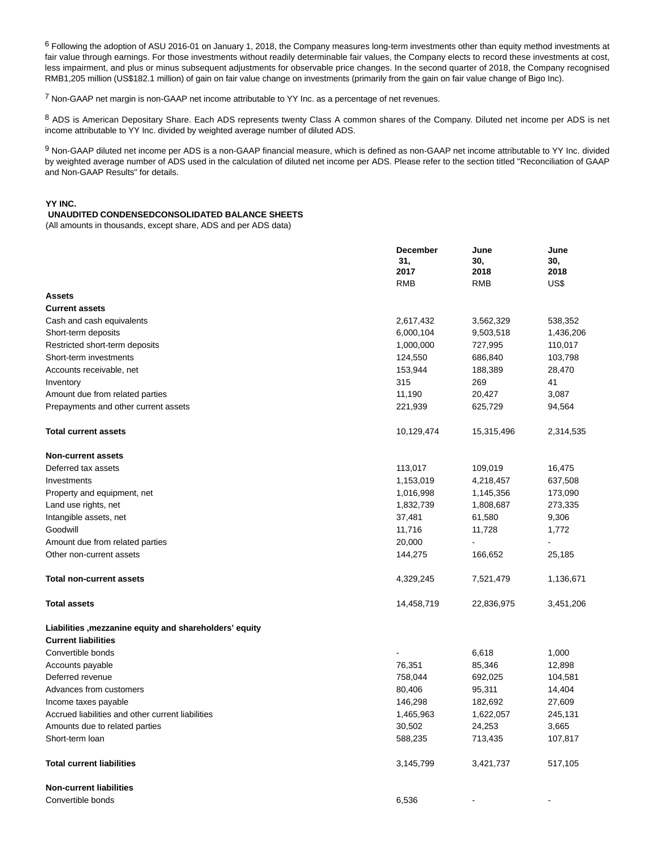6 Following the adoption of ASU 2016-01 on January 1, 2018, the Company measures long-term investments other than equity method investments at fair value through earnings. For those investments without readily determinable fair values, the Company elects to record these investments at cost, less impairment, and plus or minus subsequent adjustments for observable price changes. In the second quarter of 2018, the Company recognised RMB1,205 million (US\$182.1 million) of gain on fair value change on investments (primarily from the gain on fair value change of Bigo Inc).

 $7$  Non-GAAP net margin is non-GAAP net income attributable to YY Inc. as a percentage of net revenues.

8 ADS is American Depositary Share. Each ADS represents twenty Class A common shares of the Company. Diluted net income per ADS is net income attributable to YY Inc. divided by weighted average number of diluted ADS.

9 Non-GAAP diluted net income per ADS is a non-GAAP financial measure, which is defined as non-GAAP net income attributable to YY Inc. divided by weighted average number of ADS used in the calculation of diluted net income per ADS. Please refer to the section titled "Reconciliation of GAAP and Non-GAAP Results" for details.

#### **YY INC.**

#### **UNAUDITED CONDENSEDCONSOLIDATED BALANCE SHEETS**

|                                                         | <b>December</b><br>31,<br>2017 | June<br>30,<br>2018 | June<br>30,<br>2018 |
|---------------------------------------------------------|--------------------------------|---------------------|---------------------|
|                                                         | <b>RMB</b>                     | <b>RMB</b>          | US\$                |
| Assets                                                  |                                |                     |                     |
| <b>Current assets</b>                                   |                                |                     |                     |
| Cash and cash equivalents                               | 2,617,432                      | 3,562,329           | 538,352             |
| Short-term deposits                                     | 6,000,104                      | 9,503,518           | 1,436,206           |
| Restricted short-term deposits                          | 1,000,000                      | 727,995             | 110,017             |
| Short-term investments                                  | 124,550                        | 686,840             | 103,798             |
| Accounts receivable, net                                | 153,944                        | 188,389             | 28,470              |
| Inventory                                               | 315                            | 269                 | 41                  |
| Amount due from related parties                         | 11,190                         | 20,427              | 3,087               |
| Prepayments and other current assets                    | 221,939                        | 625,729             | 94,564              |
| <b>Total current assets</b>                             | 10,129,474                     | 15,315,496          | 2,314,535           |
| <b>Non-current assets</b>                               |                                |                     |                     |
| Deferred tax assets                                     | 113,017                        | 109,019             | 16,475              |
| Investments                                             | 1,153,019                      | 4,218,457           | 637,508             |
| Property and equipment, net                             | 1,016,998                      | 1,145,356           | 173,090             |
| Land use rights, net                                    | 1,832,739                      | 1,808,687           | 273,335             |
| Intangible assets, net                                  | 37,481                         | 61,580              | 9,306               |
| Goodwill                                                | 11,716                         | 11,728              | 1,772               |
| Amount due from related parties                         | 20,000                         | $\overline{a}$      | ÷,                  |
| Other non-current assets                                | 144,275                        | 166,652             | 25,185              |
| <b>Total non-current assets</b>                         | 4,329,245                      | 7,521,479           | 1,136,671           |
| <b>Total assets</b>                                     | 14,458,719                     | 22,836,975          | 3,451,206           |
| Liabilities , mezzanine equity and shareholders' equity |                                |                     |                     |
| <b>Current liabilities</b>                              |                                |                     |                     |
| Convertible bonds                                       |                                | 6,618               | 1,000               |
| Accounts payable                                        | 76,351                         | 85,346              | 12,898              |
| Deferred revenue                                        | 758,044                        | 692,025             | 104,581             |
| Advances from customers                                 | 80,406                         | 95,311              | 14,404              |
| Income taxes payable                                    | 146,298                        | 182,692             | 27,609              |
| Accrued liabilities and other current liabilities       | 1,465,963                      | 1,622,057           | 245,131             |
| Amounts due to related parties                          | 30,502                         | 24,253              | 3,665               |
| Short-term loan                                         | 588,235                        | 713,435             | 107,817             |
| <b>Total current liabilities</b>                        | 3,145,799                      | 3,421,737           | 517,105             |
| <b>Non-current liabilities</b>                          |                                |                     |                     |
| Convertible bonds                                       | 6,536                          |                     |                     |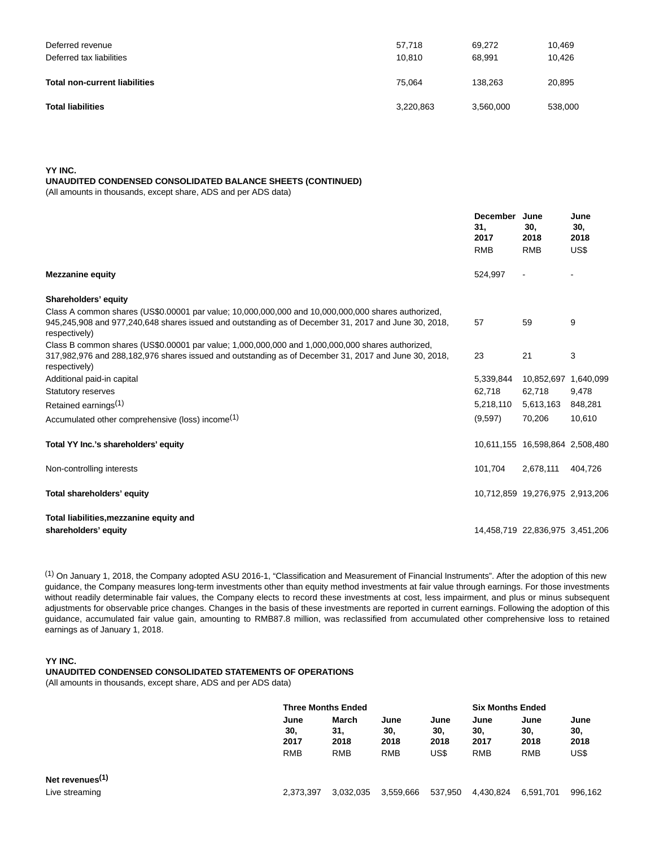| Deferred revenue<br>Deferred tax liabilities | 57.718<br>10.810 | 69.272<br>68.991 | 10.469<br>10.426 |
|----------------------------------------------|------------------|------------------|------------------|
| <b>Total non-current liabilities</b>         | 75.064           | 138.263          | 20,895           |
| <b>Total liabilities</b>                     | 3,220,863        | 3.560.000        | 538,000          |

**YY INC.**

#### **UNAUDITED CONDENSED CONSOLIDATED BALANCE SHEETS (CONTINUED)**

(All amounts in thousands, except share, ADS and per ADS data)

|                                                                                                                                                                                                                             | <b>December</b><br>31.<br>2017<br><b>RMB</b> | June<br>30.<br>2018<br><b>RMB</b> | June<br>30.<br>2018<br>US\$ |
|-----------------------------------------------------------------------------------------------------------------------------------------------------------------------------------------------------------------------------|----------------------------------------------|-----------------------------------|-----------------------------|
| <b>Mezzanine equity</b>                                                                                                                                                                                                     | 524,997                                      |                                   |                             |
| Shareholders' equity                                                                                                                                                                                                        |                                              |                                   |                             |
| Class A common shares (US\$0.00001 par value; 10,000,000,000 and 10,000,000,000 shares authorized,<br>945,245,908 and 977,240,648 shares issued and outstanding as of December 31, 2017 and June 30, 2018,<br>respectively) | 57                                           | 59                                | 9                           |
| Class B common shares (US\$0.00001 par value: 1,000,000,000 and 1,000,000,000 shares authorized,<br>317,982,976 and 288,182,976 shares issued and outstanding as of December 31, 2017 and June 30, 2018,<br>respectively)   | 23                                           | 21                                | 3                           |
| Additional paid-in capital                                                                                                                                                                                                  | 5,339,844                                    | 10,852,697 1,640,099              |                             |
| <b>Statutory reserves</b>                                                                                                                                                                                                   | 62,718                                       | 62,718                            | 9,478                       |
| Retained earnings <sup>(1)</sup>                                                                                                                                                                                            | 5,218,110                                    | 5,613,163                         | 848,281                     |
| Accumulated other comprehensive (loss) income <sup>(1)</sup>                                                                                                                                                                | (9,597)                                      | 70,206                            | 10,610                      |
| Total YY Inc.'s shareholders' equity                                                                                                                                                                                        |                                              | 10,611,155 16,598,864 2,508,480   |                             |
| Non-controlling interests                                                                                                                                                                                                   | 101,704                                      | 2,678,111                         | 404,726                     |
| Total shareholders' equity                                                                                                                                                                                                  |                                              | 10,712,859 19,276,975 2,913,206   |                             |
| Total liabilities, mezzanine equity and                                                                                                                                                                                     |                                              |                                   |                             |
| shareholders' equity                                                                                                                                                                                                        |                                              | 14,458,719 22,836,975 3,451,206   |                             |

(1) On January 1, 2018, the Company adopted ASU 2016-1, "Classification and Measurement of Financial Instruments". After the adoption of this new guidance, the Company measures long-term investments other than equity method investments at fair value through earnings. For those investments without readily determinable fair values, the Company elects to record these investments at cost, less impairment, and plus or minus subsequent adjustments for observable price changes. Changes in the basis of these investments are reported in current earnings. Following the adoption of this guidance, accumulated fair value gain, amounting to RMB87.8 million, was reclassified from accumulated other comprehensive loss to retained earnings as of January 1, 2018.

### **YY INC.**

**UNAUDITED CONDENSED CONSOLIDATED STATEMENTS OF OPERATIONS** (All amounts in thousands, except share, ADS and per ADS data)

|                                               | <b>Three Months Ended</b>         |                                    |                                   |                             | <b>Six Months Ended</b>           |                                   |                             |
|-----------------------------------------------|-----------------------------------|------------------------------------|-----------------------------------|-----------------------------|-----------------------------------|-----------------------------------|-----------------------------|
|                                               | June<br>30,<br>2017<br><b>RMB</b> | March<br>31,<br>2018<br><b>RMB</b> | June<br>30,<br>2018<br><b>RMB</b> | June<br>30,<br>2018<br>US\$ | June<br>30,<br>2017<br><b>RMB</b> | June<br>30,<br>2018<br><b>RMB</b> | June<br>30,<br>2018<br>US\$ |
| Net revenues <sup>(1)</sup><br>Live streaming | 2,373,397                         | 3.032.035                          | 3,559,666                         | 537,950                     | 4,430,824                         | 6,591,701                         | 996,162                     |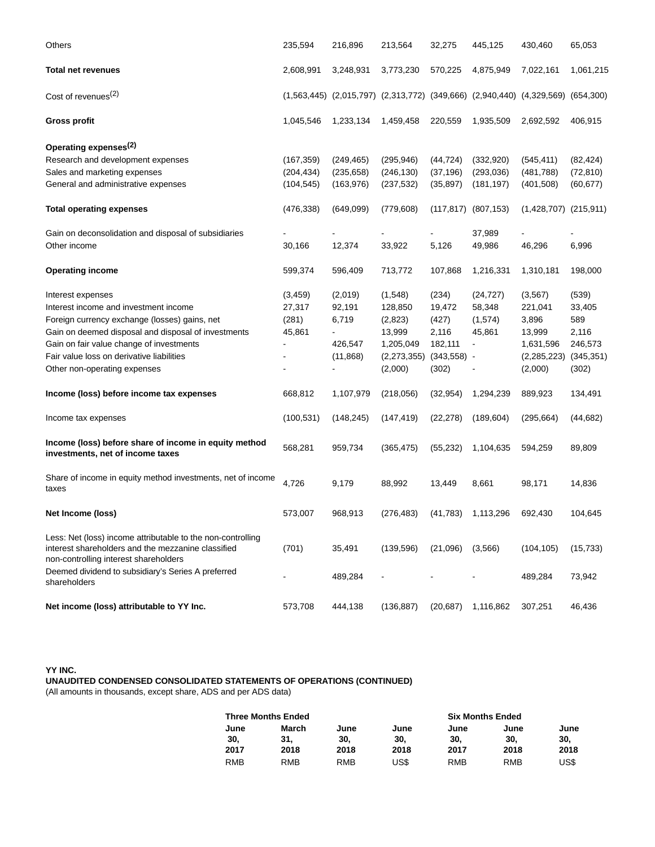| Others                                                                                                                                                                                                                                                                                      | 235,594                                | 216,896                                                                                       | 213,564                                                                                      | 32,275                                                | 445,125                                                               | 430,460                                                                       | 65,053                                                            |
|---------------------------------------------------------------------------------------------------------------------------------------------------------------------------------------------------------------------------------------------------------------------------------------------|----------------------------------------|-----------------------------------------------------------------------------------------------|----------------------------------------------------------------------------------------------|-------------------------------------------------------|-----------------------------------------------------------------------|-------------------------------------------------------------------------------|-------------------------------------------------------------------|
| <b>Total net revenues</b>                                                                                                                                                                                                                                                                   | 2,608,991                              | 3,248,931                                                                                     | 3,773,230                                                                                    | 570,225                                               | 4,875,949                                                             | 7,022,161                                                                     | 1,061,215                                                         |
| Cost of revenues <sup>(2)</sup>                                                                                                                                                                                                                                                             |                                        | $(1,563,445)$ $(2,015,797)$ $(2,313,772)$ $(349,666)$ $(2,940,440)$ $(4,329,569)$ $(654,300)$ |                                                                                              |                                                       |                                                                       |                                                                               |                                                                   |
| <b>Gross profit</b>                                                                                                                                                                                                                                                                         | 1,045,546                              | 1,233,134                                                                                     | 1,459,458                                                                                    | 220,559                                               | 1,935,509                                                             | 2,692,592                                                                     | 406,915                                                           |
| Operating expenses <sup>(2)</sup><br>Research and development expenses<br>Sales and marketing expenses<br>General and administrative expenses                                                                                                                                               | (167, 359)<br>(204, 434)<br>(104, 545) | (249, 465)<br>(235, 658)<br>(163, 976)                                                        | (295, 946)<br>(246, 130)<br>(237, 532)                                                       | (44, 724)<br>(37, 196)<br>(35, 897)                   | (332, 920)<br>(293, 036)<br>(181, 197)                                | (545, 411)<br>(481,788)<br>(401,508)                                          | (82, 424)<br>(72, 810)<br>(60, 677)                               |
| <b>Total operating expenses</b>                                                                                                                                                                                                                                                             | (476, 338)                             | (649,099)                                                                                     | (779, 608)                                                                                   | (117, 817)                                            | (807, 153)                                                            | $(1,428,707)$ $(215,911)$                                                     |                                                                   |
| Gain on deconsolidation and disposal of subsidiaries<br>Other income                                                                                                                                                                                                                        | 30,166                                 | 12,374                                                                                        | 33,922                                                                                       | $\blacksquare$<br>5,126                               | 37,989<br>49,986                                                      | 46,296                                                                        | $\overline{\phantom{a}}$<br>6,996                                 |
| <b>Operating income</b>                                                                                                                                                                                                                                                                     | 599,374                                | 596,409                                                                                       | 713,772                                                                                      | 107,868                                               | 1,216,331                                                             | 1,310,181                                                                     | 198,000                                                           |
| Interest expenses<br>Interest income and investment income<br>Foreign currency exchange (losses) gains, net<br>Gain on deemed disposal and disposal of investments<br>Gain on fair value change of investments<br>Fair value loss on derivative liabilities<br>Other non-operating expenses | (3, 459)<br>27,317<br>(281)<br>45,861  | (2,019)<br>92,191<br>6,719<br>426,547<br>(11, 868)                                            | (1,548)<br>128,850<br>(2,823)<br>13,999<br>1,205,049<br>$(2,273,355)$ $(343,558)$<br>(2,000) | (234)<br>19,472<br>(427)<br>2,116<br>182,111<br>(302) | (24, 727)<br>58,348<br>(1, 574)<br>45,861<br>$\overline{\phantom{a}}$ | (3, 567)<br>221,041<br>3,896<br>13,999<br>1,631,596<br>(2,285,223)<br>(2,000) | (539)<br>33,405<br>589<br>2,116<br>246,573<br>(345, 351)<br>(302) |
| Income (loss) before income tax expenses                                                                                                                                                                                                                                                    | 668,812                                | 1,107,979                                                                                     | (218,056)                                                                                    | (32, 954)                                             | 1,294,239                                                             | 889,923                                                                       | 134,491                                                           |
| Income tax expenses                                                                                                                                                                                                                                                                         | (100, 531)                             | (148, 245)                                                                                    | (147, 419)                                                                                   | (22, 278)                                             | (189, 604)                                                            | (295, 664)                                                                    | (44, 682)                                                         |
| Income (loss) before share of income in equity method<br>investments, net of income taxes                                                                                                                                                                                                   | 568,281                                | 959,734                                                                                       | (365, 475)                                                                                   | (55, 232)                                             | 1,104,635                                                             | 594,259                                                                       | 89,809                                                            |
| Share of income in equity method investments, net of income<br>taxes                                                                                                                                                                                                                        | 4,726                                  | 9,179                                                                                         | 88,992                                                                                       | 13,449                                                | 8,661                                                                 | 98,171                                                                        | 14,836                                                            |
| Net Income (loss)                                                                                                                                                                                                                                                                           | 573,007                                | 968,913                                                                                       | (276, 483)                                                                                   | (41, 783)                                             | 1,113,296                                                             | 692,430                                                                       | 104,645                                                           |
| Less: Net (loss) income attributable to the non-controlling<br>interest shareholders and the mezzanine classified<br>non-controlling interest shareholders<br>Deemed dividend to subsidiary's Series A preferred<br>shareholders                                                            | (701)                                  | 35,491<br>489,284                                                                             | (139, 596)                                                                                   | (21,096)                                              | (3,566)                                                               | (104, 105)<br>489,284                                                         | (15, 733)<br>73,942                                               |
| Net income (loss) attributable to YY Inc.                                                                                                                                                                                                                                                   | 573,708                                | 444,138                                                                                       | (136, 887)                                                                                   | (20, 687)                                             | 1,116,862                                                             | 307,251                                                                       | 46,436                                                            |

### **YY INC. UNAUDITED CONDENSED CONSOLIDATED STATEMENTS OF OPERATIONS (CONTINUED)** (All amounts in thousands, except share, ADS and per ADS data)

**Three Months Ended Six Months Ended June 30, 2017 March 31, 2018 June 30, 2018 June 30, 2018 June 30, 2017 June 30, 2018 June 30, 2018** RMB RMB RMB US\$ RMB RMB US\$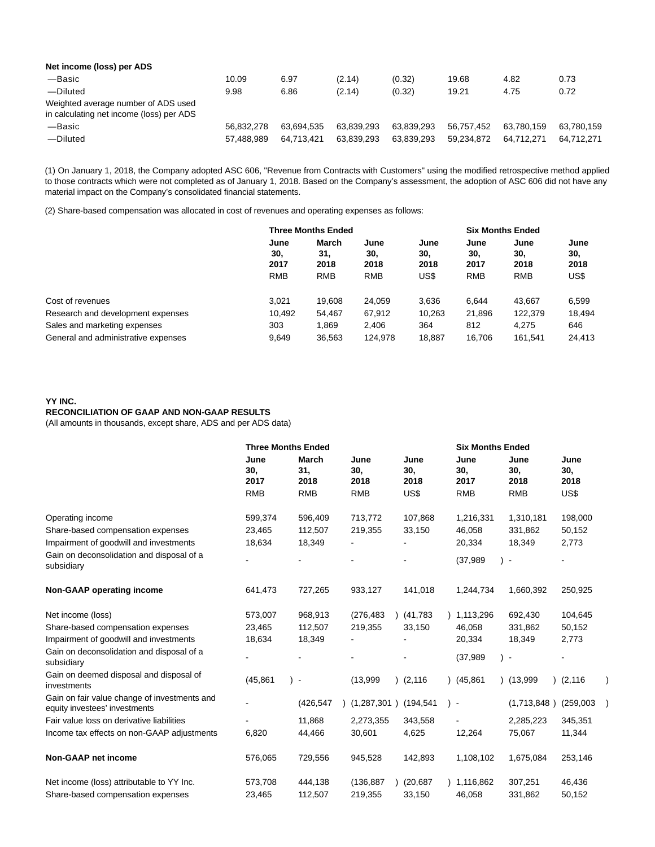| Net income (loss) per ADS                                                       |            |            |            |            |            |            |            |
|---------------------------------------------------------------------------------|------------|------------|------------|------------|------------|------------|------------|
| —Basic                                                                          | 10.09      | 6.97       | (2.14)     | (0.32)     | 19.68      | 4.82       | 0.73       |
| -Diluted                                                                        | 9.98       | 6.86       | (2.14)     | (0.32)     | 19.21      | 4.75       | 0.72       |
| Weighted average number of ADS used<br>in calculating net income (loss) per ADS |            |            |            |            |            |            |            |
| —Basic                                                                          | 56.832.278 | 63.694.535 | 63.839.293 | 63.839.293 | 56.757.452 | 63.780.159 | 63.780.159 |
| -Diluted                                                                        | 57.488.989 | 64.713.421 | 63.839.293 | 63.839.293 | 59.234.872 | 64.712.271 | 64.712.271 |

(1) On January 1, 2018, the Company adopted ASC 606, "Revenue from Contracts with Customers" using the modified retrospective method applied to those contracts which were not completed as of January 1, 2018. Based on the Company's assessment, the adoption of ASC 606 did not have any material impact on the Company's consolidated financial statements.

(2) Share-based compensation was allocated in cost of revenues and operating expenses as follows:

|                                     | <b>Three Months Ended</b> |                      |                     |                     | <b>Six Months Ended</b> |                     |                     |
|-------------------------------------|---------------------------|----------------------|---------------------|---------------------|-------------------------|---------------------|---------------------|
|                                     | June<br>30.<br>2017       | March<br>31,<br>2018 | June<br>30,<br>2018 | June<br>30,<br>2018 | June<br>30,<br>2017     | June<br>30.<br>2018 | June<br>30,<br>2018 |
|                                     | <b>RMB</b>                | <b>RMB</b>           | <b>RMB</b>          | US\$                | <b>RMB</b>              | <b>RMB</b>          | US\$                |
| Cost of revenues                    | 3,021                     | 19.608               | 24,059              | 3,636               | 6.644                   | 43,667              | 6,599               |
| Research and development expenses   | 10.492                    | 54.467               | 67,912              | 10.263              | 21,896                  | 122.379             | 18,494              |
| Sales and marketing expenses        | 303                       | 1.869                | 2.406               | 364                 | 812                     | 4.275               | 646                 |
| General and administrative expenses | 9.649                     | 36,563               | 124.978             | 18,887              | 16.706                  | 161.541             | 24,413              |

### **YY INC. RECONCILIATION OF GAAP AND NON-GAAP RESULTS**

|                                                                               |                     | <b>Three Months Ended</b> |                           |                     | <b>Six Months Ended</b> |                     |                     |  |
|-------------------------------------------------------------------------------|---------------------|---------------------------|---------------------------|---------------------|-------------------------|---------------------|---------------------|--|
|                                                                               | June<br>30,<br>2017 | March<br>31,<br>2018      | June<br>30,<br>2018       | June<br>30,<br>2018 | June<br>30,<br>2017     | June<br>30,<br>2018 | June<br>30,<br>2018 |  |
|                                                                               | <b>RMB</b>          | <b>RMB</b>                | <b>RMB</b>                | US\$                | <b>RMB</b>              | <b>RMB</b>          | US\$                |  |
| Operating income                                                              | 599,374             | 596,409                   | 713,772                   | 107,868             | 1,216,331               | 1,310,181           | 198,000             |  |
| Share-based compensation expenses                                             | 23,465              | 112,507                   | 219,355                   | 33,150              | 46,058                  | 331,862             | 50,152              |  |
| Impairment of goodwill and investments                                        | 18,634              | 18,349                    |                           |                     | 20,334                  | 18,349              | 2,773               |  |
| Gain on deconsolidation and disposal of a<br>subsidiary                       |                     |                           |                           |                     | (37, 989)               | $\vert$ -           | $\blacksquare$      |  |
| Non-GAAP operating income                                                     | 641,473             | 727,265                   | 933,127                   | 141,018             | 1,244,734               | 1,660,392           | 250,925             |  |
| Net income (loss)                                                             | 573,007             | 968,913                   | (276, 483)                | (41, 783)           | 1,113,296               | 692,430             | 104,645             |  |
| Share-based compensation expenses                                             | 23,465              | 112,507                   | 219,355                   | 33,150              | 46,058                  | 331,862             | 50,152              |  |
| Impairment of goodwill and investments                                        | 18,634              | 18,349                    |                           |                     | 20,334                  | 18,349              | 2,773               |  |
| Gain on deconsolidation and disposal of a<br>subsidiary                       |                     |                           |                           |                     | (37, 989)               | $\vert$ -           | $\blacksquare$      |  |
| Gain on deemed disposal and disposal of<br>investments                        | (45, 861)           | $\overline{ }$            | (13,999)                  | (2, 116)            | (45, 861)               | (13,999)            | (2, 116)            |  |
| Gain on fair value change of investments and<br>equity investees' investments |                     | (426, 547)                | $(1,287,301)$ $(194,541)$ |                     | $\cdot$                 | (1,713,848)         | (259,003)           |  |
| Fair value loss on derivative liabilities                                     |                     | 11,868                    | 2,273,355                 | 343,558             |                         | 2,285,223           | 345,351             |  |
| Income tax effects on non-GAAP adjustments                                    | 6,820               | 44,466                    | 30,601                    | 4,625               | 12,264                  | 75,067              | 11,344              |  |
| Non-GAAP net income                                                           | 576,065             | 729,556                   | 945,528                   | 142,893             | 1,108,102               | 1,675,084           | 253,146             |  |
| Net income (loss) attributable to YY Inc.                                     | 573,708             | 444,138                   | (136, 887)                | (20, 687)           | 1,116,862               | 307,251             | 46,436              |  |
| Share-based compensation expenses                                             | 23,465              | 112,507                   | 219,355                   | 33,150              | 46,058                  | 331,862             | 50,152              |  |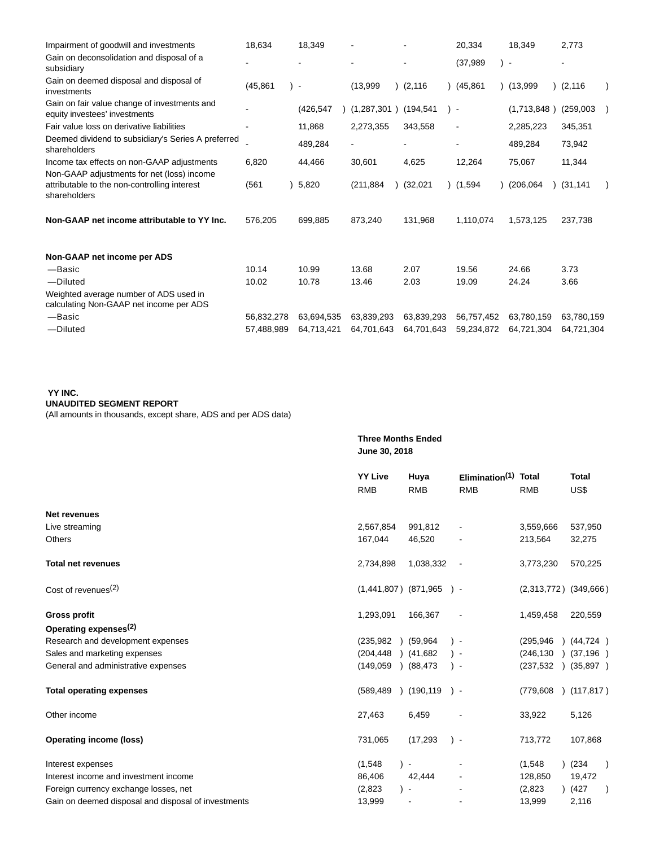| Impairment of goodwill and investments                                                                     | 18,634     | 18,349     |                           |            | 20,334         | 18,349      | 2,773      |
|------------------------------------------------------------------------------------------------------------|------------|------------|---------------------------|------------|----------------|-------------|------------|
| Gain on deconsolidation and disposal of a<br>subsidiary                                                    |            |            |                           |            | (37, 989)      | $\lambda -$ |            |
| Gain on deemed disposal and disposal of<br>investments                                                     | (45, 861)  | $\sim$     | (13,999)                  | (2, 116)   | (45, 861)      | (13,999)    | (2, 116)   |
| Gain on fair value change of investments and<br>equity investees' investments                              |            | (426, 547) | $(1,287,301)$ $(194,541)$ |            | $\cdot$        | (1,713,848) | (259,003)  |
| Fair value loss on derivative liabilities                                                                  |            | 11,868     | 2,273,355                 | 343,558    | $\blacksquare$ | 2,285,223   | 345,351    |
| Deemed dividend to subsidiary's Series A preferred<br>shareholders                                         |            | 489,284    | $\blacksquare$            |            | $\blacksquare$ | 489,284     | 73,942     |
| Income tax effects on non-GAAP adjustments                                                                 | 6,820      | 44,466     | 30,601                    | 4,625      | 12,264         | 75,067      | 11,344     |
| Non-GAAP adjustments for net (loss) income<br>attributable to the non-controlling interest<br>shareholders | (561       | 5,820      | (211, 884)                | (32,021)   | (1,594)        | (206, 064)  | (31, 141)  |
| Non-GAAP net income attributable to YY Inc.                                                                | 576,205    | 699,885    | 873,240                   | 131,968    | 1,110,074      | 1,573,125   | 237,738    |
| Non-GAAP net income per ADS                                                                                |            |            |                           |            |                |             |            |
| -Basic                                                                                                     | 10.14      | 10.99      | 13.68                     | 2.07       | 19.56          | 24.66       | 3.73       |
| -Diluted                                                                                                   | 10.02      | 10.78      | 13.46                     | 2.03       | 19.09          | 24.24       | 3.66       |
| Weighted average number of ADS used in<br>calculating Non-GAAP net income per ADS                          |            |            |                           |            |                |             |            |
| -Basic                                                                                                     | 56,832,278 | 63,694,535 | 63,839,293                | 63,839,293 | 56,757,452     | 63,780,159  | 63,780,159 |
| -Diluted                                                                                                   | 57,488,989 | 64,713,421 | 64,701,643                | 64,701,643 | 59,234,872     | 64,721,304  | 64,721,304 |

### **YY INC. UNAUDITED SEGMENT REPORT**

|                                                     | <b>Three Months Ended</b><br>June 30, 2018 |            |                                  |                           |              |
|-----------------------------------------------------|--------------------------------------------|------------|----------------------------------|---------------------------|--------------|
|                                                     | <b>YY Live</b>                             | Huya       | Elimination <sup>(1)</sup> Total |                           | <b>Total</b> |
|                                                     | <b>RMB</b>                                 | <b>RMB</b> | <b>RMB</b>                       | <b>RMB</b>                | US\$         |
| <b>Net revenues</b>                                 |                                            |            |                                  |                           |              |
| Live streaming                                      | 2,567,854                                  | 991,812    |                                  | 3,559,666                 | 537,950      |
| Others                                              | 167,044                                    | 46,520     |                                  | 213,564                   | 32,275       |
| <b>Total net revenues</b>                           | 2,734,898                                  | 1,038,332  |                                  | 3,773,230                 | 570,225      |
| Cost of revenues <sup>(2)</sup>                     | $(1,441,807)$ $(871,965)$ -                |            |                                  | $(2,313,772)$ $(349,666)$ |              |
| <b>Gross profit</b>                                 | 1,293,091                                  | 166,367    |                                  | 1,459,458                 | 220,559      |
| Operating expenses <sup>(2)</sup>                   |                                            |            |                                  |                           |              |
| Research and development expenses                   | (235, 982)                                 | (59, 964)  | ) -                              | (295, 946)                | (44, 724)    |
| Sales and marketing expenses                        | (204, 448)                                 | (41,682)   | $\lambda -$                      | (246, 130)                | (37, 196)    |
| General and administrative expenses                 | (149, 059)                                 | (88, 473)  | $\rightarrow$                    | (237, 532)                | (35,897)     |
| <b>Total operating expenses</b>                     | (589, 489)                                 | (190, 119) | $\rightarrow$                    | (779, 608)                | (117, 817)   |
| Other income                                        | 27,463                                     | 6,459      |                                  | 33,922                    | 5,126        |
| <b>Operating income (loss)</b>                      | 731,065                                    | (17, 293)  | $\vert$ -                        | 713,772                   | 107,868      |
| Interest expenses                                   | (1,548)                                    | ) -        |                                  | (1,548)                   | (234)        |
| Interest income and investment income               | 86,406                                     | 42,444     |                                  | 128,850                   | 19,472       |
| Foreign currency exchange losses, net               | (2,823)                                    | ۔ ۱        |                                  | (2,823)                   | (427)        |
| Gain on deemed disposal and disposal of investments | 13,999                                     |            |                                  | 13,999                    | 2,116        |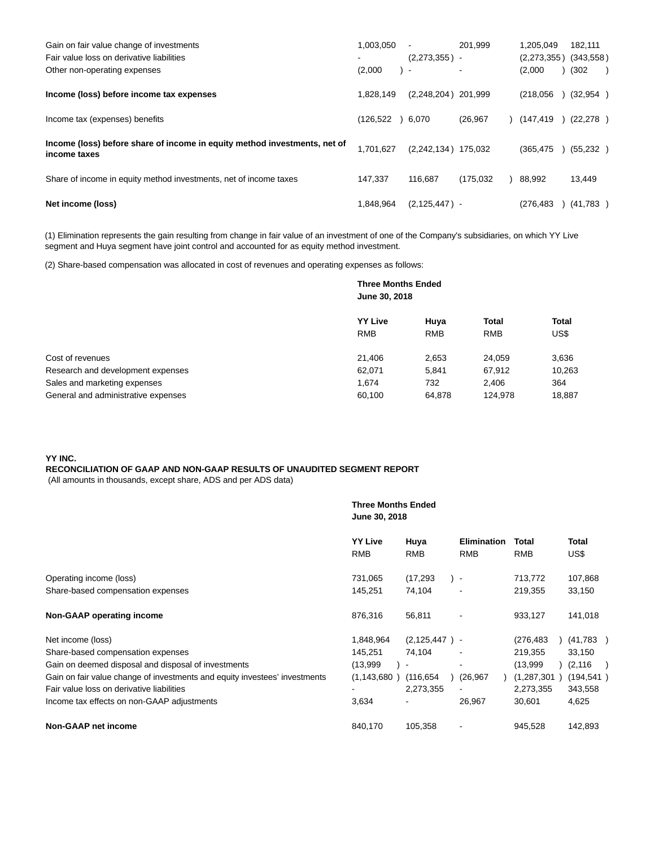| Gain on fair value change of investments<br>Fair value loss on derivative liabilities<br>Other non-operating expenses | 1,003,050<br>$\overline{\phantom{a}}$<br>(2,000) | $\overline{a}$<br>$(2,273,355) -$<br>$\overline{\phantom{a}}$ | 201.999    | 1.205.049<br>$(2,273,355)$ $(343,558)$<br>(2,000) | 182.111<br>(302) |
|-----------------------------------------------------------------------------------------------------------------------|--------------------------------------------------|---------------------------------------------------------------|------------|---------------------------------------------------|------------------|
| Income (loss) before income tax expenses                                                                              | 1,828,149                                        | $(2,248,204)$ 201,999                                         |            | (218,056)                                         | (32, 954)        |
| Income tax (expenses) benefits                                                                                        | (126, 522)                                       | 6,070                                                         | (26, 967)  | (147, 419)                                        | (22, 278)        |
| Income (loss) before share of income in equity method investments, net of<br>income taxes                             | 1.701.627                                        | $(2,242,134)$ 175,032                                         |            | (365.475)                                         | (55, 232)        |
| Share of income in equity method investments, net of income taxes                                                     | 147.337                                          | 116.687                                                       | (175, 032) | 88.992                                            | 13.449           |
| Net income (loss)                                                                                                     | 1.848.964                                        | $(2, 125, 447) -$                                             |            | (276, 483)                                        | (41,783)         |

(1) Elimination represents the gain resulting from change in fair value of an investment of one of the Company's subsidiaries, on which YY Live segment and Huya segment have joint control and accounted for as equity method investment.

(2) Share-based compensation was allocated in cost of revenues and operating expenses as follows:

|                                     | <b>Three Months Ended</b><br>June 30, 2018 |            |              |              |
|-------------------------------------|--------------------------------------------|------------|--------------|--------------|
|                                     | <b>YY Live</b>                             | Huya       | <b>Total</b> | <b>Total</b> |
|                                     | <b>RMB</b>                                 | <b>RMB</b> | <b>RMB</b>   | US\$         |
| Cost of revenues                    | 21,406                                     | 2.653      | 24,059       | 3,636        |
| Research and development expenses   | 62.071                                     | 5.841      | 67,912       | 10,263       |
| Sales and marketing expenses        | 1.674                                      | 732        | 2.406        | 364          |
| General and administrative expenses | 60.100                                     | 64.878     | 124.978      | 18,887       |

# **YY INC.**

# **RECONCILIATION OF GAAP AND NON-GAAP RESULTS OF UNAUDITED SEGMENT REPORT**

|                                                                            | <b>Three Months Ended</b><br>June 30, 2018 |                    |                                  |                     |               |
|----------------------------------------------------------------------------|--------------------------------------------|--------------------|----------------------------------|---------------------|---------------|
|                                                                            | <b>YY Live</b><br><b>RMB</b>               | Huya<br><b>RMB</b> | <b>Elimination</b><br><b>RMB</b> | Total<br><b>RMB</b> | Total<br>US\$ |
| Operating income (loss)                                                    | 731,065                                    | (17, 293)          | $\sim$                           | 713,772             | 107,868       |
| Share-based compensation expenses                                          | 145,251                                    | 74,104             |                                  | 219,355             | 33,150        |
| Non-GAAP operating income                                                  | 876,316                                    | 56,811             |                                  | 933,127             | 141,018       |
| Net income (loss)                                                          | 1,848,964                                  | $(2, 125, 447) -$  |                                  | (276, 483)          | (41,783)      |
| Share-based compensation expenses                                          | 145,251                                    | 74,104             |                                  | 219,355             | 33,150        |
| Gain on deemed disposal and disposal of investments                        | (13,999)                                   | $\sim$             |                                  | (13,999)            | (2, 116)      |
| Gain on fair value change of investments and equity investees' investments | (1, 143, 680)                              | (116, 654)         | (26, 967)                        | (1,287,301)         | (194, 541)    |
| Fair value loss on derivative liabilities                                  |                                            | 2,273,355          |                                  | 2,273,355           | 343,558       |
| Income tax effects on non-GAAP adjustments                                 | 3,634                                      |                    | 26,967                           | 30,601              | 4,625         |
| Non-GAAP net income                                                        | 840,170                                    | 105,358            |                                  | 945,528             | 142,893       |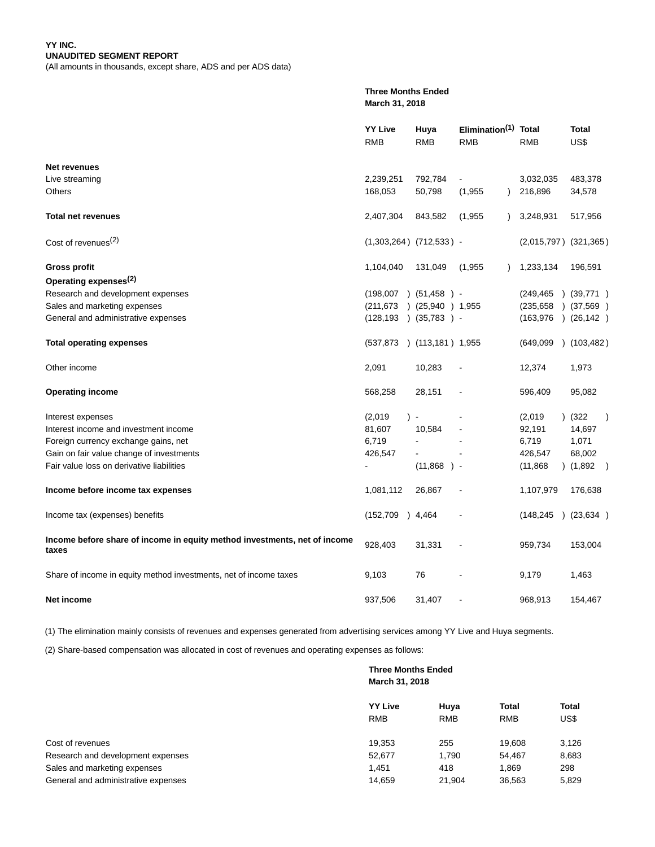### **YY INC. UNAUDITED SEGMENT REPORT**

(All amounts in thousands, except share, ADS and per ADS data)

## **Three Months Ended March 31, 2018**

|                                                                                    | <b>YY Live</b><br><b>RMB</b> | Huya<br><b>RMB</b> | Elimination <sup>(1)</sup> Total<br><b>RMB</b> | <b>RMB</b>                | <b>Total</b><br>US\$   |
|------------------------------------------------------------------------------------|------------------------------|--------------------|------------------------------------------------|---------------------------|------------------------|
| <b>Net revenues</b>                                                                |                              |                    |                                                |                           |                        |
| Live streaming                                                                     | 2,239,251                    | 792,784            |                                                | 3,032,035                 | 483,378                |
| Others                                                                             | 168,053                      | 50,798             | (1,955)<br>$\lambda$                           | 216,896                   | 34,578                 |
| <b>Total net revenues</b>                                                          | 2,407,304                    | 843,582            | (1,955)<br>$\lambda$                           | 3,248,931                 | 517,956                |
| Cost of revenues <sup>(2)</sup>                                                    | $(1,303,264)$ $(712,533)$ -  |                    |                                                | $(2,015,797)$ $(321,365)$ |                        |
| <b>Gross profit</b>                                                                | 1,104,040                    | 131,049            | (1,955)                                        | 1,233,134                 | 196,591                |
| Operating expenses <sup>(2)</sup>                                                  |                              |                    |                                                |                           |                        |
| Research and development expenses                                                  | $(198,007)$ $(51,458)$ -     |                    |                                                | (249,465)                 | (39,771)               |
| Sales and marketing expenses                                                       | (211,673)                    | $(25,940)$ 1,955   |                                                | (235, 658)                | (37,569)               |
| General and administrative expenses                                                | $(128, 193)$ $(35, 783)$ -   |                    |                                                | (163, 976)                | (26, 142)              |
| <b>Total operating expenses</b>                                                    | (537,873)                    | ) (113,181 ) 1,955 |                                                | (649,099)                 | (103, 482)             |
| Other income                                                                       | 2,091                        | 10,283             |                                                | 12,374                    | 1,973                  |
| <b>Operating income</b>                                                            | 568,258                      | 28,151             |                                                | 596,409                   | 95,082                 |
| Interest expenses                                                                  | (2,019)                      | $\rightarrow$      |                                                | (2,019)                   | $)$ (322)<br>$\lambda$ |
| Interest income and investment income                                              | 81,607                       | 10,584             |                                                | 92,191                    | 14,697                 |
| Foreign currency exchange gains, net                                               | 6,719                        |                    |                                                | 6,719                     | 1,071                  |
| Gain on fair value change of investments                                           | 426,547                      |                    |                                                | 426,547                   | 68,002                 |
| Fair value loss on derivative liabilities                                          |                              | $(11,868)$ -       |                                                | (11, 868)                 | (1,892)                |
| Income before income tax expenses                                                  | 1,081,112                    | 26,867             |                                                | 1,107,979                 | 176,638                |
| Income tax (expenses) benefits                                                     | (152, 709)                   | 4,464              |                                                | (148, 245)<br>$\lambda$   | (23, 634)              |
| Income before share of income in equity method investments, net of income<br>taxes | 928,403                      | 31,331             |                                                | 959,734                   | 153,004                |
| Share of income in equity method investments, net of income taxes                  | 9,103                        | 76                 |                                                | 9,179                     | 1,463                  |
| Net income                                                                         | 937,506                      | 31,407             |                                                | 968,913                   | 154,467                |

(1) The elimination mainly consists of revenues and expenses generated from advertising services among YY Live and Huya segments.

(2) Share-based compensation was allocated in cost of revenues and operating expenses as follows:

|                                     | <b>Three Months Ended</b><br>March 31, 2018 |            |              |              |
|-------------------------------------|---------------------------------------------|------------|--------------|--------------|
|                                     | <b>YY Live</b>                              | Huya       | <b>Total</b> | <b>Total</b> |
|                                     | <b>RMB</b>                                  | <b>RMB</b> | <b>RMB</b>   | US\$         |
| Cost of revenues                    | 19,353                                      | 255        | 19.608       | 3,126        |
| Research and development expenses   | 52,677                                      | 1.790      | 54.467       | 8,683        |
| Sales and marketing expenses        | 1.451                                       | 418        | 1.869        | 298          |
| General and administrative expenses | 14,659                                      | 21.904     | 36,563       | 5,829        |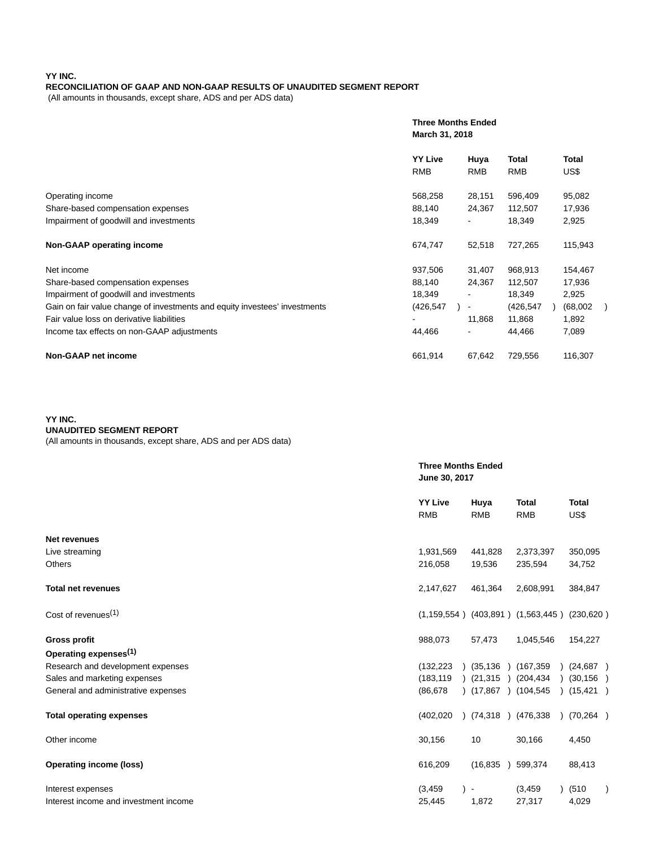## **YY INC.**

## **RECONCILIATION OF GAAP AND NON-GAAP RESULTS OF UNAUDITED SEGMENT REPORT**

(All amounts in thousands, except share, ADS and per ADS data)

|                                                                            | <b>Three Months Ended</b><br>March 31, 2018 |                          |              |               |  |
|----------------------------------------------------------------------------|---------------------------------------------|--------------------------|--------------|---------------|--|
|                                                                            | <b>YY Live</b><br><b>RMB</b>                | Huya<br><b>RMB</b>       | Total<br>RMB | Total<br>US\$ |  |
| Operating income                                                           | 568,258                                     | 28,151                   | 596,409      | 95,082        |  |
| Share-based compensation expenses                                          | 88,140                                      | 24,367                   | 112,507      | 17,936        |  |
| Impairment of goodwill and investments                                     | 18,349                                      |                          | 18,349       | 2,925         |  |
| Non-GAAP operating income                                                  | 674,747                                     | 52,518                   | 727,265      | 115,943       |  |
| Net income                                                                 | 937,506                                     | 31,407                   | 968,913      | 154,467       |  |
| Share-based compensation expenses                                          | 88,140                                      | 24,367                   | 112,507      | 17,936        |  |
| Impairment of goodwill and investments                                     | 18,349                                      |                          | 18,349       | 2,925         |  |
| Gain on fair value change of investments and equity investees' investments | (426,547)                                   | $\overline{\phantom{a}}$ | (426, 547)   | (68,002)      |  |
| Fair value loss on derivative liabilities                                  |                                             | 11,868                   | 11,868       | 1,892         |  |
| Income tax effects on non-GAAP adjustments                                 | 44,466                                      |                          | 44,466       | 7,089         |  |
| <b>Non-GAAP net income</b>                                                 | 661,914                                     | 67,642                   | 729,556      | 116,307       |  |

## **YY INC. UNAUDITED SEGMENT REPORT**

|                                       | <b>Three Months Ended</b><br>June 30, 2017                                                               |
|---------------------------------------|----------------------------------------------------------------------------------------------------------|
|                                       | <b>YY Live</b><br><b>Total</b><br>Huya<br><b>Total</b><br>US\$<br><b>RMB</b><br><b>RMB</b><br><b>RMB</b> |
| <b>Net revenues</b>                   |                                                                                                          |
| Live streaming                        | 2,373,397<br>350,095<br>1,931,569<br>441,828                                                             |
| <b>Others</b>                         | 216,058<br>19,536<br>235,594<br>34,752                                                                   |
| <b>Total net revenues</b>             | 2,147,627<br>2,608,991<br>384,847<br>461,364                                                             |
| Cost of revenues <sup>(1)</sup>       | $(1,159,554)$ $(403,891)$ $(1,563,445)$ $(230,620)$                                                      |
| <b>Gross profit</b>                   | 57,473<br>1,045,546<br>154,227<br>988,073                                                                |
| Operating expenses <sup>(1)</sup>     |                                                                                                          |
| Research and development expenses     | (35, 136)<br>(167, 359)<br>(24, 687)<br>(132, 223)                                                       |
| Sales and marketing expenses          | (183, 119)<br>(21, 315)<br>(204, 434)<br>(30, 156)                                                       |
| General and administrative expenses   | (15, 421)<br>(86, 678)<br>$(17,867)$ $(104,545)$                                                         |
| <b>Total operating expenses</b>       | (402, 020)<br>(70, 264)<br>$(74,318)$ $(476,338)$                                                        |
| Other income                          | 10<br>30,156<br>30,166<br>4,450                                                                          |
| <b>Operating income (loss)</b>        | (16, 835)<br>616,209<br>599,374<br>88,413<br>$\mathcal{L}$                                               |
| Interest expenses                     | (510)<br>(3, 459)<br>(3, 459)<br>$\overline{\phantom{a}}$                                                |
| Interest income and investment income | 1,872<br>25,445<br>27,317<br>4,029                                                                       |